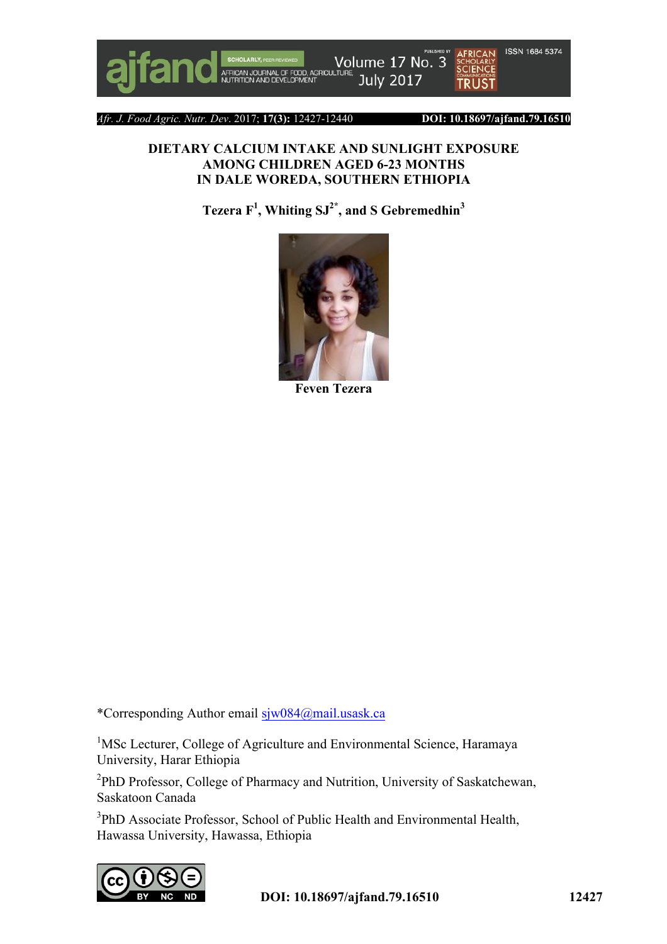

*Afr. J. Food Agric. Nutr. Dev*. 2017; **17(3):** 12427-12440 **DOI: 10.18697/ajfand.79.16510**

#### **DIETARY CALCIUM INTAKE AND SUNLIGHT EXPOSURE AMONG CHILDREN AGED 6-23 MONTHS IN DALE WOREDA, SOUTHERN ETHIOPIA**

**Tezera F<sup>1</sup> , Whiting SJ2\* , and S Gebremedhin<sup>3</sup>**



**Feven Tezera** 

\*Corresponding Author email sjw084@mail.usask.ca

<sup>1</sup>MSc Lecturer, College of Agriculture and Environmental Science, Haramaya University, Harar Ethiopia

<sup>2</sup>PhD Professor, College of Pharmacy and Nutrition, University of Saskatchewan, Saskatoon Canada

<sup>3</sup>PhD Associate Professor, School of Public Health and Environmental Health, Hawassa University, Hawassa, Ethiopia

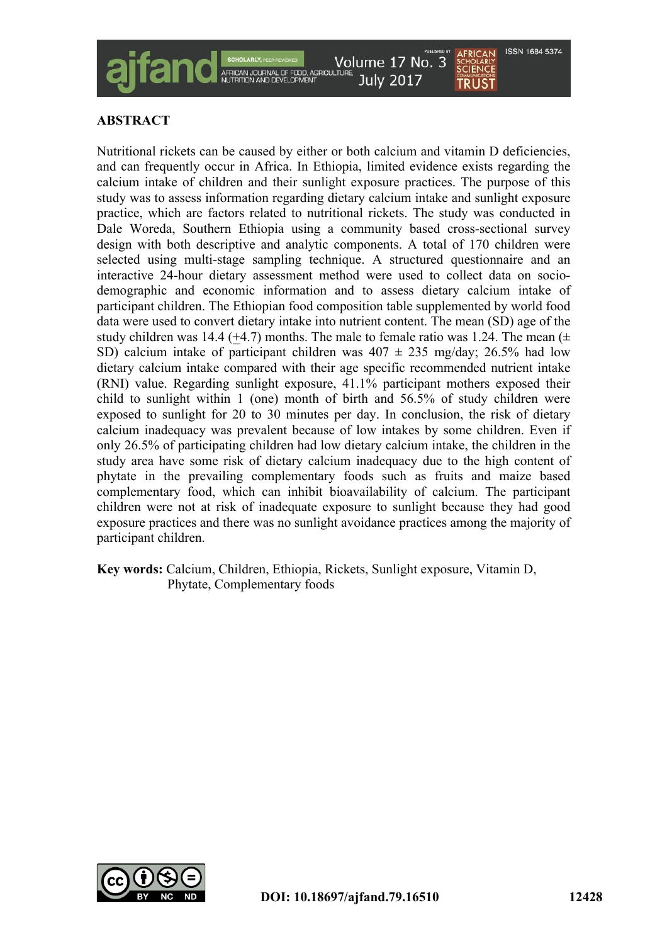

# **ABSTRACT**

Nutritional rickets can be caused by either or both calcium and vitamin D deficiencies, and can frequently occur in Africa. In Ethiopia, limited evidence exists regarding the calcium intake of children and their sunlight exposure practices. The purpose of this study was to assess information regarding dietary calcium intake and sunlight exposure practice, which are factors related to nutritional rickets. The study was conducted in Dale Woreda, Southern Ethiopia using a community based cross-sectional survey design with both descriptive and analytic components. A total of 170 children were selected using multi-stage sampling technique. A structured questionnaire and an interactive 24-hour dietary assessment method were used to collect data on sociodemographic and economic information and to assess dietary calcium intake of participant children. The Ethiopian food composition table supplemented by world food data were used to convert dietary intake into nutrient content. The mean (SD) age of the study children was 14.4 (+4.7) months. The male to female ratio was 1.24. The mean  $(±$ SD) calcium intake of participant children was  $407 \pm 235$  mg/day; 26.5% had low dietary calcium intake compared with their age specific recommended nutrient intake (RNI) value. Regarding sunlight exposure, 41.1% participant mothers exposed their child to sunlight within 1 (one) month of birth and 56.5% of study children were exposed to sunlight for 20 to 30 minutes per day. In conclusion, the risk of dietary calcium inadequacy was prevalent because of low intakes by some children. Even if only 26.5% of participating children had low dietary calcium intake, the children in the study area have some risk of dietary calcium inadequacy due to the high content of phytate in the prevailing complementary foods such as fruits and maize based complementary food, which can inhibit bioavailability of calcium. The participant children were not at risk of inadequate exposure to sunlight because they had good exposure practices and there was no sunlight avoidance practices among the majority of participant children.

**Key words:** Calcium, Children, Ethiopia, Rickets, Sunlight exposure, Vitamin D, Phytate, Complementary foods

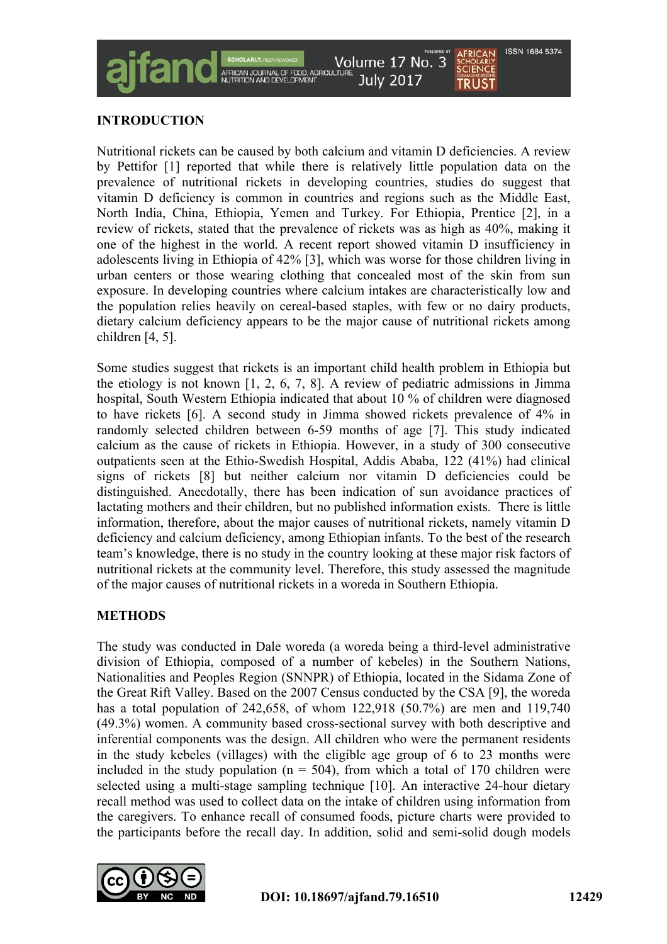

# **INTRODUCTION**

Nutritional rickets can be caused by both calcium and vitamin D deficiencies. A review by Pettifor [1] reported that while there is relatively little population data on the prevalence of nutritional rickets in developing countries, studies do suggest that vitamin D deficiency is common in countries and regions such as the Middle East, North India, China, Ethiopia, Yemen and Turkey. For Ethiopia, Prentice [2], in a review of rickets, stated that the prevalence of rickets was as high as 40%, making it one of the highest in the world. A recent report showed vitamin D insufficiency in adolescents living in Ethiopia of 42% [3], which was worse for those children living in urban centers or those wearing clothing that concealed most of the skin from sun exposure. In developing countries where calcium intakes are characteristically low and the population relies heavily on cereal-based staples, with few or no dairy products, dietary calcium deficiency appears to be the major cause of nutritional rickets among children [4, 5].

Some studies suggest that rickets is an important child health problem in Ethiopia but the etiology is not known [1, 2, 6, 7, 8]. A review of pediatric admissions in Jimma hospital, South Western Ethiopia indicated that about 10 % of children were diagnosed to have rickets [6]. A second study in Jimma showed rickets prevalence of 4% in randomly selected children between 6-59 months of age [7]. This study indicated calcium as the cause of rickets in Ethiopia. However, in a study of 300 consecutive outpatients seen at the Ethio-Swedish Hospital, Addis Ababa, 122 (41%) had clinical signs of rickets [8] but neither calcium nor vitamin D deficiencies could be distinguished. Anecdotally, there has been indication of sun avoidance practices of lactating mothers and their children, but no published information exists. There is little information, therefore, about the major causes of nutritional rickets, namely vitamin D deficiency and calcium deficiency, among Ethiopian infants. To the best of the research team's knowledge, there is no study in the country looking at these major risk factors of nutritional rickets at the community level. Therefore, this study assessed the magnitude of the major causes of nutritional rickets in a woreda in Southern Ethiopia.

# **METHODS**

The study was conducted in Dale woreda (a woreda being a third-level administrative division of Ethiopia, composed of a number of kebeles) in the Southern Nations, Nationalities and Peoples Region (SNNPR) of Ethiopia, located in the Sidama Zone of the Great Rift Valley. Based on the 2007 Census conducted by the CSA [9], the woreda has a total population of 242,658, of whom 122,918 (50.7%) are men and 119,740 (49.3%) women. A community based cross-sectional survey with both descriptive and inferential components was the design. All children who were the permanent residents in the study kebeles (villages) with the eligible age group of 6 to 23 months were included in the study population ( $n = 504$ ), from which a total of 170 children were selected using a multi-stage sampling technique [10]. An interactive 24-hour dietary recall method was used to collect data on the intake of children using information from the caregivers. To enhance recall of consumed foods, picture charts were provided to the participants before the recall day. In addition, solid and semi-solid dough models

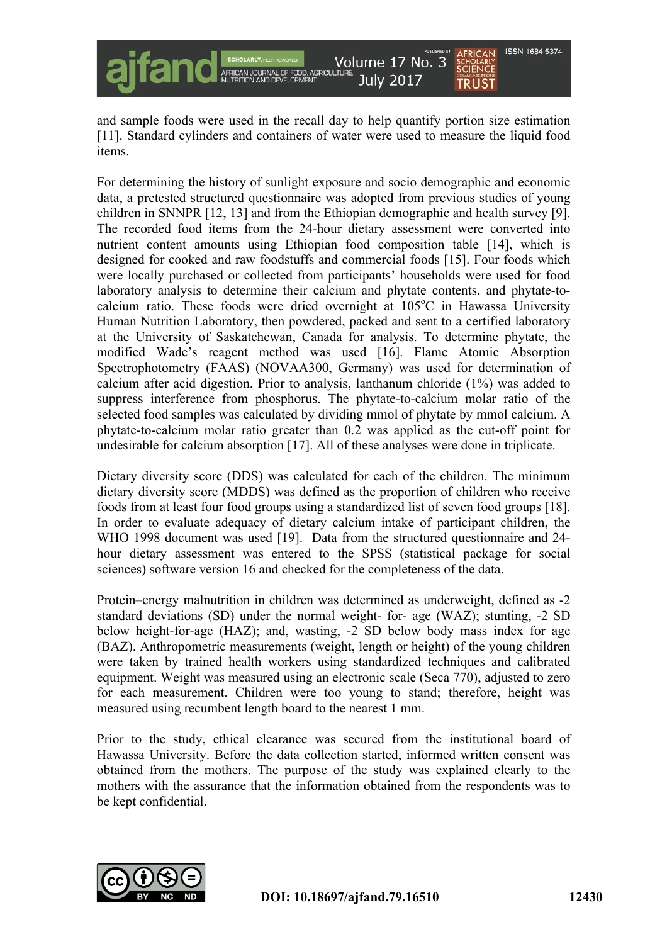

and sample foods were used in the recall day to help quantify portion size estimation [11]. Standard cylinders and containers of water were used to measure the liquid food items.

For determining the history of sunlight exposure and socio demographic and economic data, a pretested structured questionnaire was adopted from previous studies of young children in SNNPR [12, 13] and from the Ethiopian demographic and health survey [9]. The recorded food items from the 24-hour dietary assessment were converted into nutrient content amounts using Ethiopian food composition table [14], which is designed for cooked and raw foodstuffs and commercial foods [15]. Four foods which were locally purchased or collected from participants' households were used for food laboratory analysis to determine their calcium and phytate contents, and phytate-tocalcium ratio. These foods were dried overnight at 105°C in Hawassa University Human Nutrition Laboratory, then powdered, packed and sent to a certified laboratory at the University of Saskatchewan, Canada for analysis. To determine phytate, the modified Wade's reagent method was used [16]. Flame Atomic Absorption Spectrophotometry (FAAS) (NOVAA300, Germany) was used for determination of calcium after acid digestion. Prior to analysis, lanthanum chloride (1%) was added to suppress interference from phosphorus. The phytate-to-calcium molar ratio of the selected food samples was calculated by dividing mmol of phytate by mmol calcium. A phytate-to-calcium molar ratio greater than 0.2 was applied as the cut-off point for undesirable for calcium absorption [17]. All of these analyses were done in triplicate.

Dietary diversity score (DDS) was calculated for each of the children. The minimum dietary diversity score (MDDS) was defined as the proportion of children who receive foods from at least four food groups using a standardized list of seven food groups [18]. In order to evaluate adequacy of dietary calcium intake of participant children, the WHO 1998 document was used [19]. Data from the structured questionnaire and 24hour dietary assessment was entered to the SPSS (statistical package for social sciences) software version 16 and checked for the completeness of the data.

Protein–energy malnutrition in children was determined as underweight, defined as -2 standard deviations (SD) under the normal weight- for- age (WAZ); stunting, -2 SD below height-for-age (HAZ); and, wasting, -2 SD below body mass index for age (BAZ). Anthropometric measurements (weight, length or height) of the young children were taken by trained health workers using standardized techniques and calibrated equipment. Weight was measured using an electronic scale (Seca 770), adjusted to zero for each measurement. Children were too young to stand; therefore, height was measured using recumbent length board to the nearest 1 mm.

Prior to the study, ethical clearance was secured from the institutional board of Hawassa University. Before the data collection started, informed written consent was obtained from the mothers. The purpose of the study was explained clearly to the mothers with the assurance that the information obtained from the respondents was to be kept confidential.

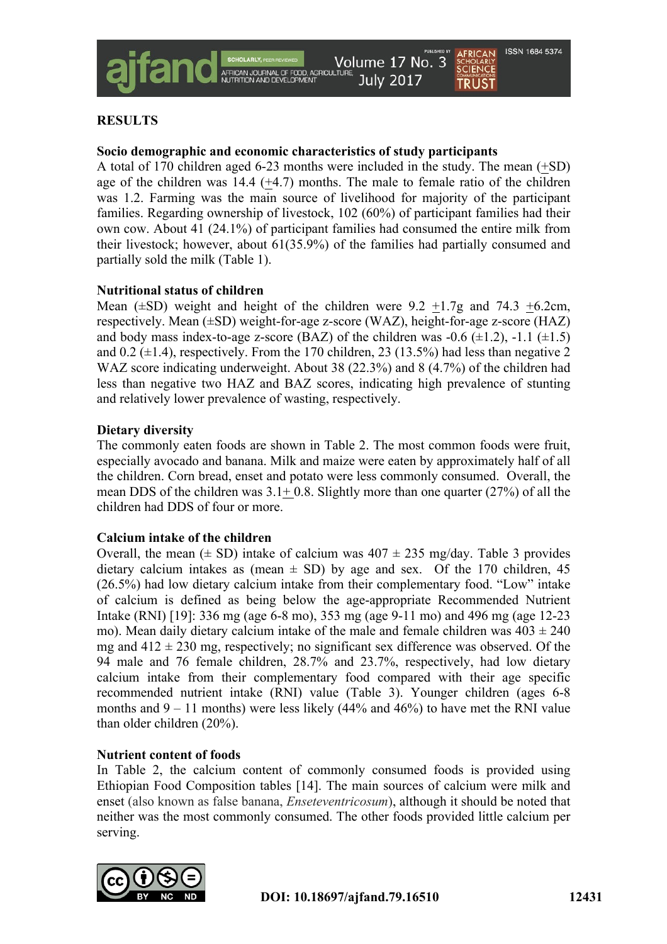# **RESULTS**

## **Socio demographic and economic characteristics of study participants**

A total of 170 children aged 6-23 months were included in the study. The mean (+SD) age of the children was  $14.4$  ( $+4.7$ ) months. The male to female ratio of the children was 1.2. Farming was the main source of livelihood for majority of the participant families. Regarding ownership of livestock, 102 (60%) of participant families had their own cow. About 41 (24.1%) of participant families had consumed the entire milk from their livestock; however, about 61(35.9%) of the families had partially consumed and partially sold the milk (Table 1).

## **Nutritional status of children**

Mean  $(\pm SD)$  weight and height of the children were 9.2 +1.7g and 74.3 +6.2cm, respectively. Mean (±SD) weight-for-age z-score (WAZ), height-for-age z-score (HAZ) and body mass index-to-age z-score (BAZ) of the children was  $-0.6 \ (\pm 1.2)$ ,  $-1.1 \ (\pm 1.5)$ and  $0.2$  ( $\pm$ 1.4), respectively. From the 170 children, 23 (13.5%) had less than negative 2 WAZ score indicating underweight. About 38 (22.3%) and 8 (4.7%) of the children had less than negative two HAZ and BAZ scores, indicating high prevalence of stunting and relatively lower prevalence of wasting, respectively.

### **Dietary diversity**

The commonly eaten foods are shown in Table 2. The most common foods were fruit, especially avocado and banana. Milk and maize were eaten by approximately half of all the children. Corn bread, enset and potato were less commonly consumed. Overall, the mean DDS of the children was  $3.1+0.8$ . Slightly more than one quarter (27%) of all the children had DDS of four or more.

### **Calcium intake of the children**

Overall, the mean  $(\pm SD)$  intake of calcium was  $407 \pm 235$  mg/day. Table 3 provides dietary calcium intakes as (mean  $\pm$  SD) by age and sex. Of the 170 children, 45 (26.5%) had low dietary calcium intake from their complementary food. "Low" intake of calcium is defined as being below the age-appropriate Recommended Nutrient Intake (RNI) [19]: 336 mg (age 6-8 mo), 353 mg (age 9-11 mo) and 496 mg (age 12-23 mo). Mean daily dietary calcium intake of the male and female children was  $403 \pm 240$ mg and  $412 \pm 230$  mg, respectively; no significant sex difference was observed. Of the 94 male and 76 female children, 28.7% and 23.7%, respectively, had low dietary calcium intake from their complementary food compared with their age specific recommended nutrient intake (RNI) value (Table 3). Younger children (ages 6-8 months and  $9 - 11$  months) were less likely (44% and 46%) to have met the RNI value than older children (20%).

### **Nutrient content of foods**

In Table 2, the calcium content of commonly consumed foods is provided using Ethiopian Food Composition tables [14]. The main sources of calcium were milk and enset (also known as false banana, *Enseteventricosum*), although it should be noted that neither was the most commonly consumed. The other foods provided little calcium per serving.

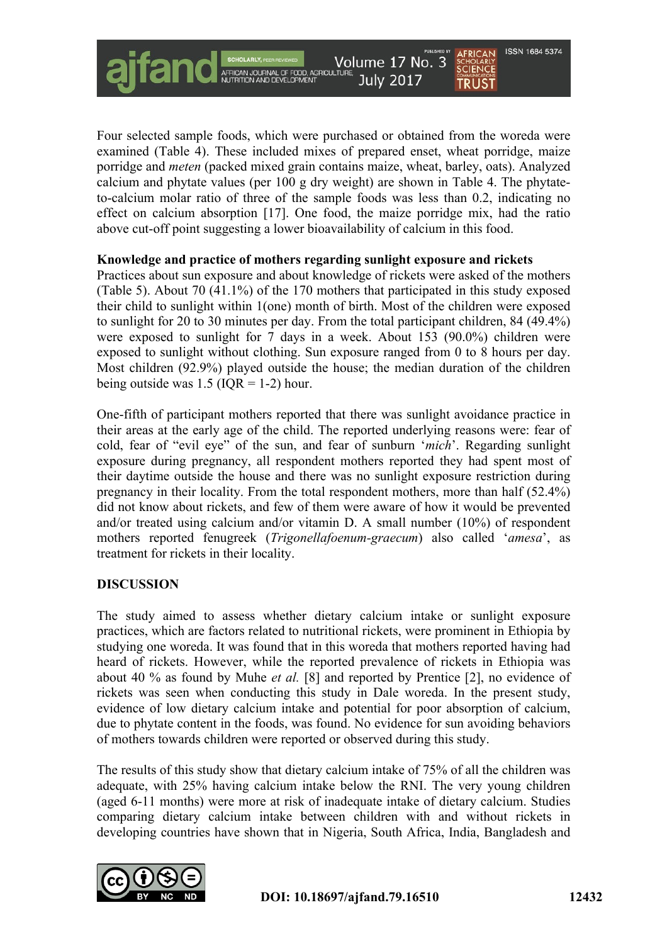Four selected sample foods, which were purchased or obtained from the woreda were examined (Table 4). These included mixes of prepared enset, wheat porridge, maize porridge and *meten* (packed mixed grain contains maize, wheat, barley, oats). Analyzed calcium and phytate values (per 100 g dry weight) are shown in Table 4. The phytateto-calcium molar ratio of three of the sample foods was less than 0.2, indicating no effect on calcium absorption [17]. One food, the maize porridge mix, had the ratio above cut-off point suggesting a lower bioavailability of calcium in this food.

Volume 17 No. 3

**July 2017** 

#### **Knowledge and practice of mothers regarding sunlight exposure and rickets**

Practices about sun exposure and about knowledge of rickets were asked of the mothers (Table 5). About 70 (41.1%) of the 170 mothers that participated in this study exposed their child to sunlight within 1(one) month of birth. Most of the children were exposed to sunlight for 20 to 30 minutes per day. From the total participant children, 84 (49.4%) were exposed to sunlight for 7 days in a week. About 153 (90.0%) children were exposed to sunlight without clothing. Sun exposure ranged from 0 to 8 hours per day. Most children (92.9%) played outside the house; the median duration of the children being outside was  $1.5$  (IQR = 1-2) hour.

One-fifth of participant mothers reported that there was sunlight avoidance practice in their areas at the early age of the child. The reported underlying reasons were: fear of cold, fear of "evil eye" of the sun, and fear of sunburn '*mich*'. Regarding sunlight exposure during pregnancy, all respondent mothers reported they had spent most of their daytime outside the house and there was no sunlight exposure restriction during pregnancy in their locality. From the total respondent mothers, more than half (52.4%) did not know about rickets, and few of them were aware of how it would be prevented and/or treated using calcium and/or vitamin D. A small number (10%) of respondent mothers reported fenugreek (*Trigonellafoenum-graecum*) also called '*amesa*', as treatment for rickets in their locality.

#### **DISCUSSION**

The study aimed to assess whether dietary calcium intake or sunlight exposure practices, which are factors related to nutritional rickets, were prominent in Ethiopia by studying one woreda. It was found that in this woreda that mothers reported having had heard of rickets. However, while the reported prevalence of rickets in Ethiopia was about 40 % as found by Muhe *et al.* [8] and reported by Prentice [2], no evidence of rickets was seen when conducting this study in Dale woreda. In the present study, evidence of low dietary calcium intake and potential for poor absorption of calcium, due to phytate content in the foods, was found. No evidence for sun avoiding behaviors of mothers towards children were reported or observed during this study.

The results of this study show that dietary calcium intake of 75% of all the children was adequate, with 25% having calcium intake below the RNI. The very young children (aged 6-11 months) were more at risk of inadequate intake of dietary calcium. Studies comparing dietary calcium intake between children with and without rickets in developing countries have shown that in Nigeria, South Africa, India, Bangladesh and



**ISSN 1684 5374** 

**SCHOLARLY**<br>**SCIENCE** 

**TRUST**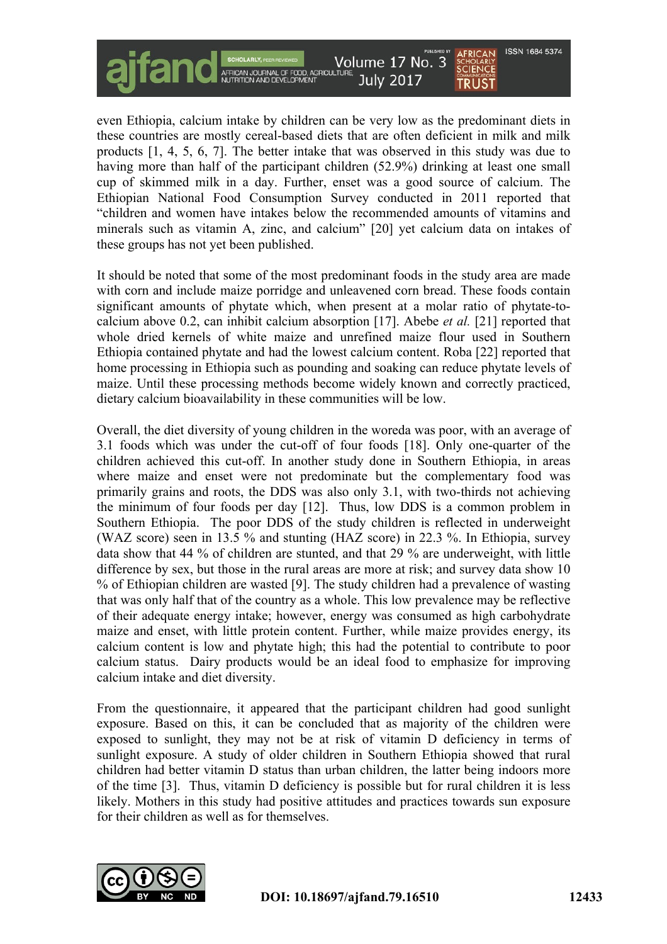

even Ethiopia, calcium intake by children can be very low as the predominant diets in these countries are mostly cereal-based diets that are often deficient in milk and milk products [1, 4, 5, 6, 7]. The better intake that was observed in this study was due to having more than half of the participant children (52.9%) drinking at least one small cup of skimmed milk in a day. Further, enset was a good source of calcium. The Ethiopian National Food Consumption Survey conducted in 2011 reported that "children and women have intakes below the recommended amounts of vitamins and minerals such as vitamin A, zinc, and calcium" [20] yet calcium data on intakes of these groups has not yet been published.

It should be noted that some of the most predominant foods in the study area are made with corn and include maize porridge and unleavened corn bread. These foods contain significant amounts of phytate which, when present at a molar ratio of phytate-tocalcium above 0.2, can inhibit calcium absorption [17]. Abebe *et al.* [21] reported that whole dried kernels of white maize and unrefined maize flour used in Southern Ethiopia contained phytate and had the lowest calcium content. Roba [22] reported that home processing in Ethiopia such as pounding and soaking can reduce phytate levels of maize. Until these processing methods become widely known and correctly practiced, dietary calcium bioavailability in these communities will be low.

Overall, the diet diversity of young children in the woreda was poor, with an average of 3.1 foods which was under the cut-off of four foods [18]. Only one-quarter of the children achieved this cut-off. In another study done in Southern Ethiopia, in areas where maize and enset were not predominate but the complementary food was primarily grains and roots, the DDS was also only 3.1, with two-thirds not achieving the minimum of four foods per day [12]. Thus, low DDS is a common problem in Southern Ethiopia. The poor DDS of the study children is reflected in underweight (WAZ score) seen in 13.5 % and stunting (HAZ score) in 22.3 %. In Ethiopia, survey data show that 44 % of children are stunted, and that 29 % are underweight, with little difference by sex, but those in the rural areas are more at risk; and survey data show 10 % of Ethiopian children are wasted [9]. The study children had a prevalence of wasting that was only half that of the country as a whole. This low prevalence may be reflective of their adequate energy intake; however, energy was consumed as high carbohydrate maize and enset, with little protein content. Further, while maize provides energy, its calcium content is low and phytate high; this had the potential to contribute to poor calcium status. Dairy products would be an ideal food to emphasize for improving calcium intake and diet diversity.

From the questionnaire, it appeared that the participant children had good sunlight exposure. Based on this, it can be concluded that as majority of the children were exposed to sunlight, they may not be at risk of vitamin D deficiency in terms of sunlight exposure. A study of older children in Southern Ethiopia showed that rural children had better vitamin D status than urban children, the latter being indoors more of the time [3]. Thus, vitamin D deficiency is possible but for rural children it is less likely. Mothers in this study had positive attitudes and practices towards sun exposure for their children as well as for themselves.

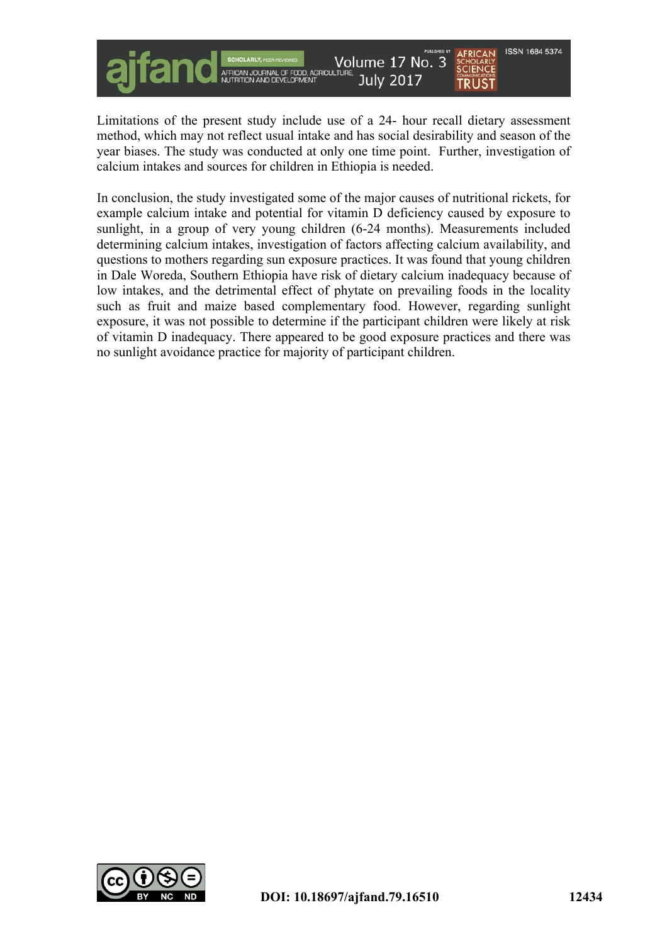

Limitations of the present study include use of a 24- hour recall dietary assessment method, which may not reflect usual intake and has social desirability and season of the year biases. The study was conducted at only one time point. Further, investigation of calcium intakes and sources for children in Ethiopia is needed.

In conclusion, the study investigated some of the major causes of nutritional rickets, for example calcium intake and potential for vitamin D deficiency caused by exposure to sunlight, in a group of very young children (6-24 months). Measurements included determining calcium intakes, investigation of factors affecting calcium availability, and questions to mothers regarding sun exposure practices. It was found that young children in Dale Woreda, Southern Ethiopia have risk of dietary calcium inadequacy because of low intakes, and the detrimental effect of phytate on prevailing foods in the locality such as fruit and maize based complementary food. However, regarding sunlight exposure, it was not possible to determine if the participant children were likely at risk of vitamin D inadequacy. There appeared to be good exposure practices and there was no sunlight avoidance practice for majority of participant children.

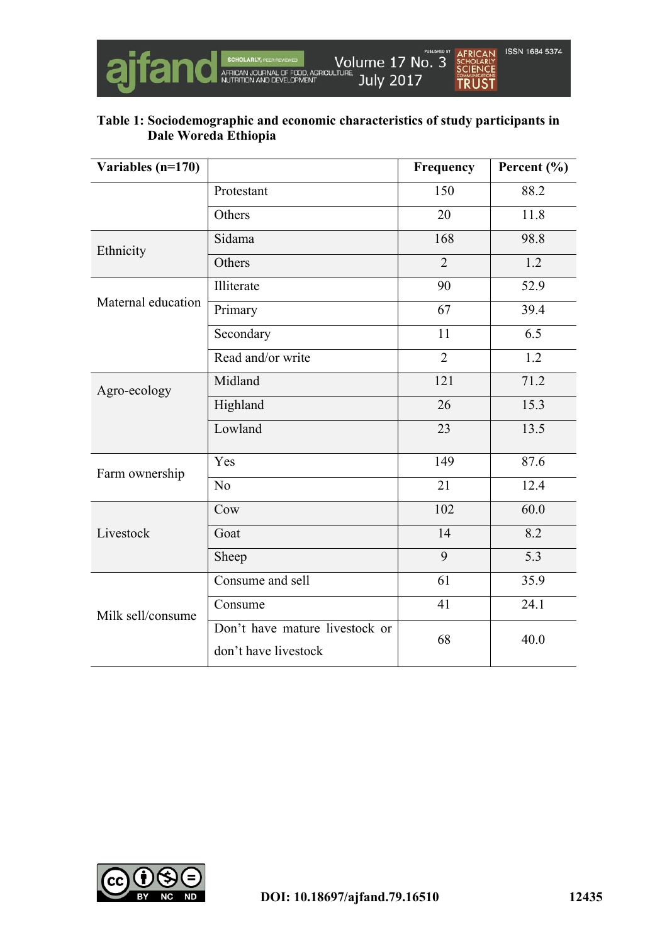

# **Table 1: Sociodemographic and economic characteristics of study participants in Dale Woreda Ethiopia**

| Variables $(n=170)$ |                                                        | Frequency      | Percent $(\% )$ |
|---------------------|--------------------------------------------------------|----------------|-----------------|
|                     | Protestant                                             | 150            | 88.2            |
|                     | Others                                                 | 20             | 11.8            |
| Ethnicity           | Sidama                                                 | 168            | 98.8            |
|                     | Others                                                 | $\overline{2}$ | 1.2             |
| Maternal education  | Illiterate                                             | 90             | 52.9            |
|                     | Primary                                                | 67             | 39.4            |
|                     | Secondary                                              | 11             | 6.5             |
|                     | Read and/or write                                      | $\overline{2}$ | 1.2             |
| Agro-ecology        | Midland                                                | 121            | 71.2            |
|                     | Highland                                               | 26             | 15.3            |
|                     | Lowland                                                | 23             | 13.5            |
| Farm ownership      | Yes                                                    | 149            | 87.6            |
|                     | No                                                     | 21             | 12.4            |
|                     | Cow                                                    | 102            | 60.0            |
| Livestock           | Goat                                                   | 14             | 8.2             |
|                     | Sheep                                                  | 9              | 5.3             |
| Milk sell/consume   | Consume and sell                                       | 61             | 35.9            |
|                     | Consume                                                | 41             | 24.1            |
|                     | Don't have mature livestock or<br>don't have livestock | 68             | 40.0            |

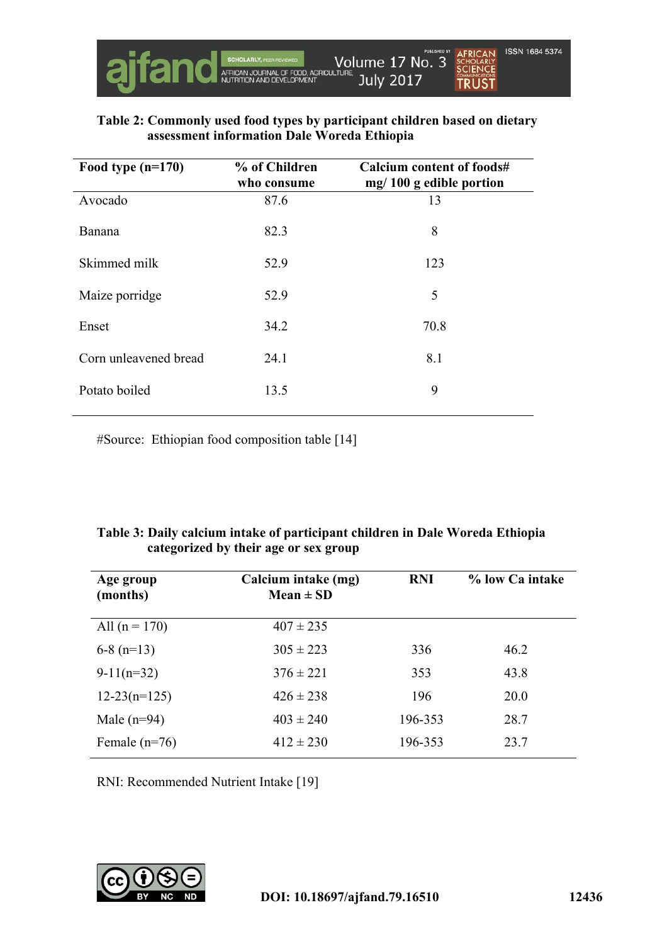

### **Table 2: Commonly used food types by participant children based on dietary assessment information Dale Woreda Ethiopia**

| Food type $(n=170)$   | % of Children<br>who consume | Calcium content of foods#<br>$mg/100 g$ edible portion |
|-----------------------|------------------------------|--------------------------------------------------------|
| Avocado               | 87.6                         | 13                                                     |
| Banana                | 82.3                         | 8                                                      |
| Skimmed milk          | 52.9                         | 123                                                    |
| Maize porridge        | 52.9                         | 5                                                      |
| Enset                 | 34.2                         | 70.8                                                   |
| Corn unleavened bread | 24.1                         | 8.1                                                    |
| Potato boiled         | 13.5                         | 9                                                      |

#Source: Ethiopian food composition table [14]

### **Table 3: Daily calcium intake of participant children in Dale Woreda Ethiopia categorized by their age or sex group**

| Age group<br>(months) | Calcium intake (mg)<br>$Mean \pm SD$ | <b>RNI</b> | % low Ca intake |
|-----------------------|--------------------------------------|------------|-----------------|
| All $(n = 170)$       | $407 \pm 235$                        |            |                 |
| $6-8$ (n=13)          | $305 \pm 223$                        | 336        | 46.2            |
| $9-11(n=32)$          | $376 \pm 221$                        | 353        | 43.8            |
| $12-23(n=125)$        | $426 \pm 238$                        | 196        | 20.0            |
| Male $(n=94)$         | $403 \pm 240$                        | 196-353    | 28.7            |
| Female $(n=76)$       | $412 \pm 230$                        | 196-353    | 23.7            |

RNI: Recommended Nutrient Intake [19]

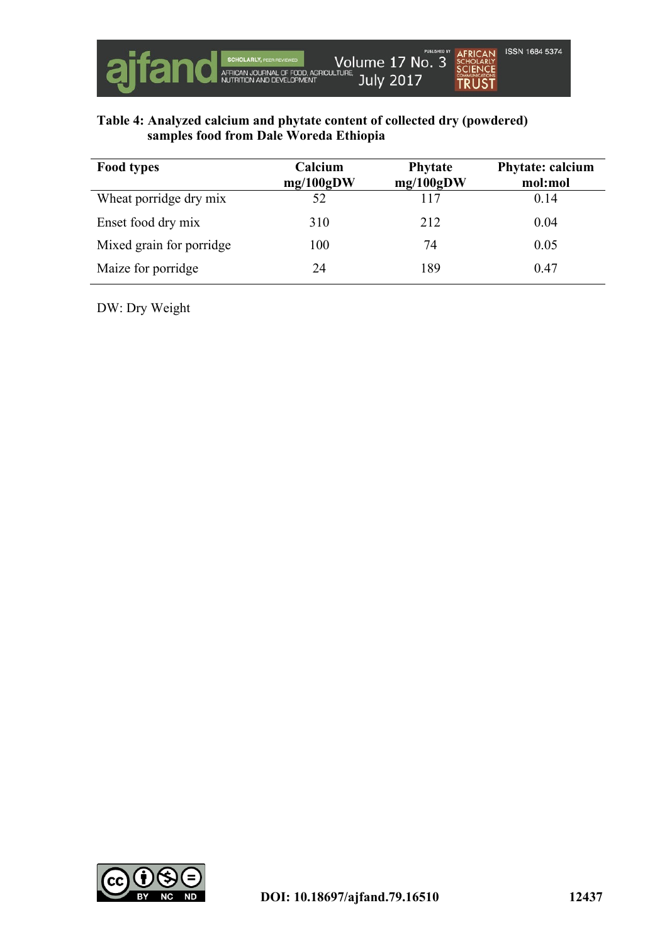

## **Table 4: Analyzed calcium and phytate content of collected dry (powdered) samples food from Dale Woreda Ethiopia**

| <b>Food types</b>        | Calcium<br>mg/100gDW | <b>Phytate</b><br>mg/100gDW | Phytate: calcium<br>mol:mol |
|--------------------------|----------------------|-----------------------------|-----------------------------|
| Wheat porridge dry mix   | 52                   | 117                         | 0.14                        |
| Enset food dry mix       | 310                  | 212                         | 0.04                        |
| Mixed grain for porridge | 100                  | 74                          | 0.05                        |
| Maize for porridge       | 24                   | 189                         | 0.47                        |

DW: Dry Weight

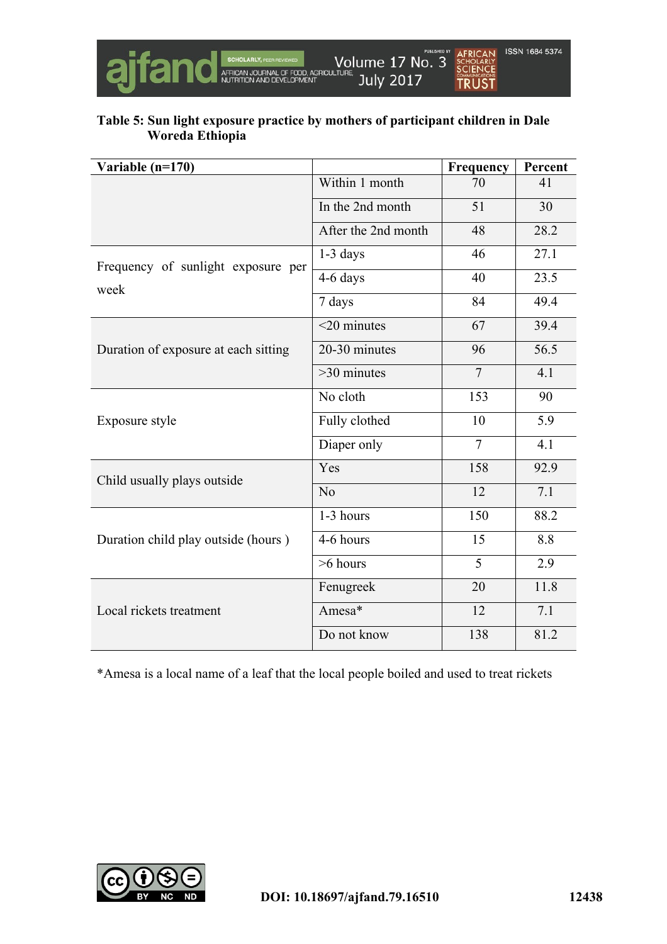

## **Table 5: Sun light exposure practice by mothers of participant children in Dale Woreda Ethiopia**

| Variable (n=170)                     |                     | Frequency      | Percent |
|--------------------------------------|---------------------|----------------|---------|
|                                      | Within 1 month      | 70             | 41      |
|                                      | In the 2nd month    | 51             | 30      |
|                                      | After the 2nd month | 48             | 28.2    |
| Frequency of sunlight exposure per   | $1-3$ days          | 46             | 27.1    |
| week                                 | 4-6 days            | 40             | 23.5    |
|                                      | 7 days              | 84             |         |
|                                      | $<$ 20 minutes      | 67             | 39.4    |
| Duration of exposure at each sitting | 20-30 minutes       | 96             | 56.5    |
|                                      | $>30$ minutes       | $\overline{7}$ | 4.1     |
|                                      | No cloth            | 153            | 90      |
| Exposure style                       | Fully clothed       | 10             | 5.9     |
|                                      | Diaper only         | $\overline{7}$ | 4.1     |
| Child usually plays outside          | Yes<br>158          |                | 92.9    |
|                                      | N <sub>0</sub>      | 12             | 7.1     |
|                                      | 1-3 hours           | 150            | 88.2    |
| Duration child play outside (hours)  | 4-6 hours           | 15             | 8.8     |
|                                      | $>6$ hours          | 5              | 2.9     |
|                                      | Fenugreek           | 20             | 11.8    |
| Local rickets treatment              | Amesa*              | 12             | 7.1     |
|                                      | Do not know         | 138            | 81.2    |

\*Amesa is a local name of a leaf that the local people boiled and used to treat rickets

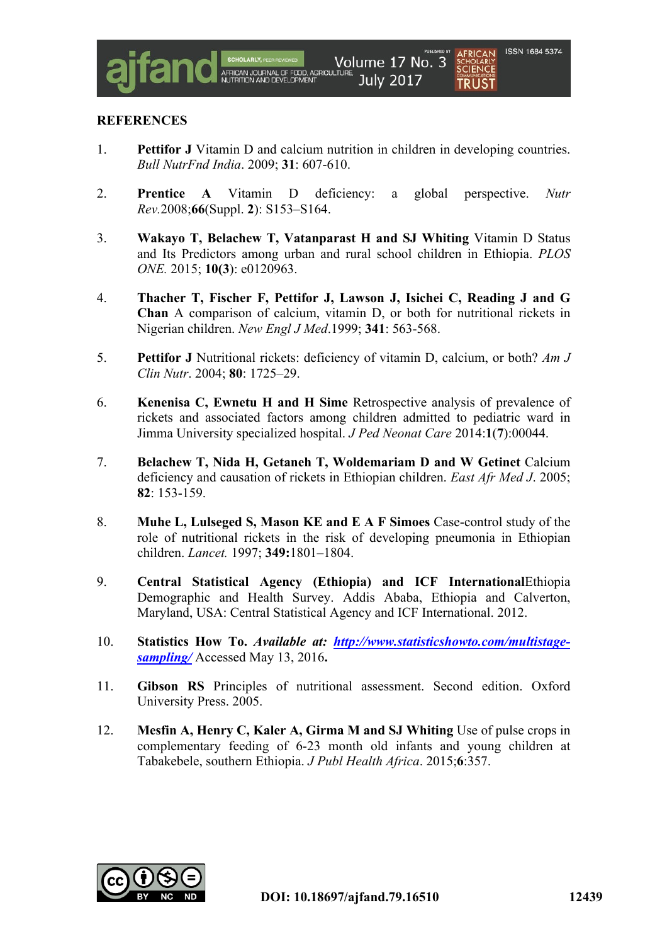

#### **REFERENCES**

- 1. **Pettifor J** Vitamin D and calcium nutrition in children in developing countries. *Bull NutrFnd India*. 2009; **31**: 607-610.
- 2. **Prentice A** Vitamin D deficiency: a global perspective. *Nutr Rev.*2008;**66**(Suppl. **2**): S153–S164.
- 3. **Wakayo T, Belachew T, Vatanparast H and SJ Whiting** Vitamin D Status and Its Predictors among urban and rural school children in Ethiopia. *PLOS ONE.* 2015; **10(3**): e0120963.
- 4. **Thacher T, Fischer F, Pettifor J, Lawson J, Isichei C, Reading J and G Chan** A comparison of calcium, vitamin D, or both for nutritional rickets in Nigerian children. *New Engl J Med*.1999; **341**: 563-568.
- 5. **Pettifor J** Nutritional rickets: deficiency of vitamin D, calcium, or both? *Am J Clin Nutr*. 2004; **80**: 1725–29.
- 6. **Kenenisa C, Ewnetu H and H Sime** Retrospective analysis of prevalence of rickets and associated factors among children admitted to pediatric ward in Jimma University specialized hospital. *J Ped Neonat Care* 2014:**1**(**7**):00044.
- 7. **Belachew T, Nida H, Getaneh T, Woldemariam D and W Getinet** Calcium deficiency and causation of rickets in Ethiopian children. *East Afr Med J*. 2005; **82**: 153-159.
- 8. **Muhe L, Lulseged S, Mason KE and E A F Simoes** Case-control study of the role of nutritional rickets in the risk of developing pneumonia in Ethiopian children. *Lancet.* 1997; **349:**1801–1804.
- 9. **Central Statistical Agency (Ethiopia) and ICF International**Ethiopia Demographic and Health Survey. Addis Ababa, Ethiopia and Calverton, Maryland, USA: Central Statistical Agency and ICF International. 2012.
- 10. **Statistics How To.** *Available at: http://www.statisticshowto.com/multistagesampling/* Accessed May 13, 2016**.**
- 11. **Gibson RS** Principles of nutritional assessment. Second edition. Oxford University Press. 2005.
- 12. **Mesfin A, Henry C, Kaler A, Girma M and SJ Whiting** Use of pulse crops in complementary feeding of 6-23 month old infants and young children at Tabakebele, southern Ethiopia. *J Publ Health Africa*. 2015;**6**:357.